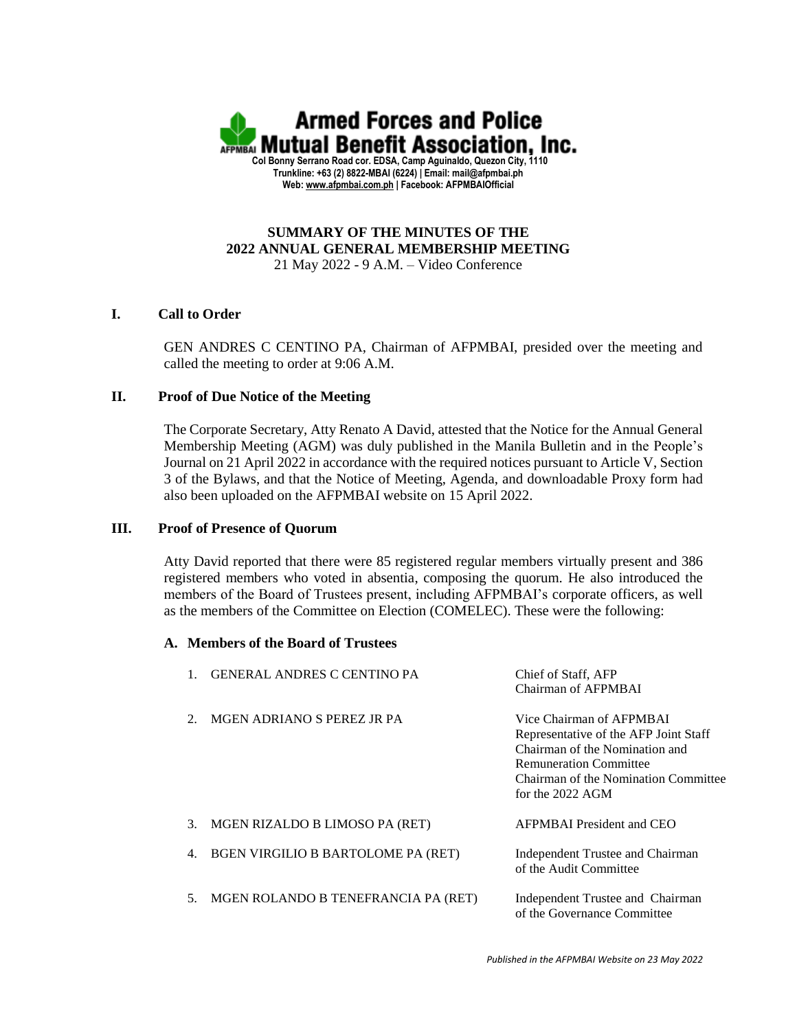

# **SUMMARY OF THE MINUTES OF THE 2022 ANNUAL GENERAL MEMBERSHIP MEETING**

21 May 2022 - 9 A.M. – Video Conference

## **I. Call to Order**

GEN ANDRES C CENTINO PA, Chairman of AFPMBAI, presided over the meeting and called the meeting to order at 9:06 A.M.

## **II. Proof of Due Notice of the Meeting**

The Corporate Secretary, Atty Renato A David, attested that the Notice for the Annual General Membership Meeting (AGM) was duly published in the Manila Bulletin and in the People's Journal on 21 April 2022 in accordance with the required notices pursuant to Article V, Section 3 of the Bylaws, and that the Notice of Meeting, Agenda, and downloadable Proxy form had also been uploaded on the AFPMBAI website on 15 April 2022.

## **III. Proof of Presence of Quorum**

Atty David reported that there were 85 registered regular members virtually present and 386 registered members who voted in absentia, composing the quorum. He also introduced the members of the Board of Trustees present, including AFPMBAI's corporate officers, as well as the members of the Committee on Election (COMELEC). These were the following:

## **A. Members of the Board of Trustees**

|    | <b>GENERAL ANDRES C CENTINO PA</b>  | Chief of Staff, AFP<br>Chairman of AFPMBAI                                                                                                                                                         |
|----|-------------------------------------|----------------------------------------------------------------------------------------------------------------------------------------------------------------------------------------------------|
|    | MGEN ADRIANO S PEREZ JR PA          | Vice Chairman of AFPMBAI<br>Representative of the AFP Joint Staff<br>Chairman of the Nomination and<br><b>Remuneration Committee</b><br>Chairman of the Nomination Committee<br>for the $2022$ AGM |
| 3. | MGEN RIZALDO B LIMOSO PA (RET)      | <b>AFPMBAI</b> President and CEO                                                                                                                                                                   |
| 4. | BGEN VIRGILIO B BARTOLOME PA (RET)  | Independent Trustee and Chairman<br>of the Audit Committee                                                                                                                                         |
| 5. | MGEN ROLANDO B TENEFRANCIA PA (RET) | Independent Trustee and Chairman<br>of the Governance Committee                                                                                                                                    |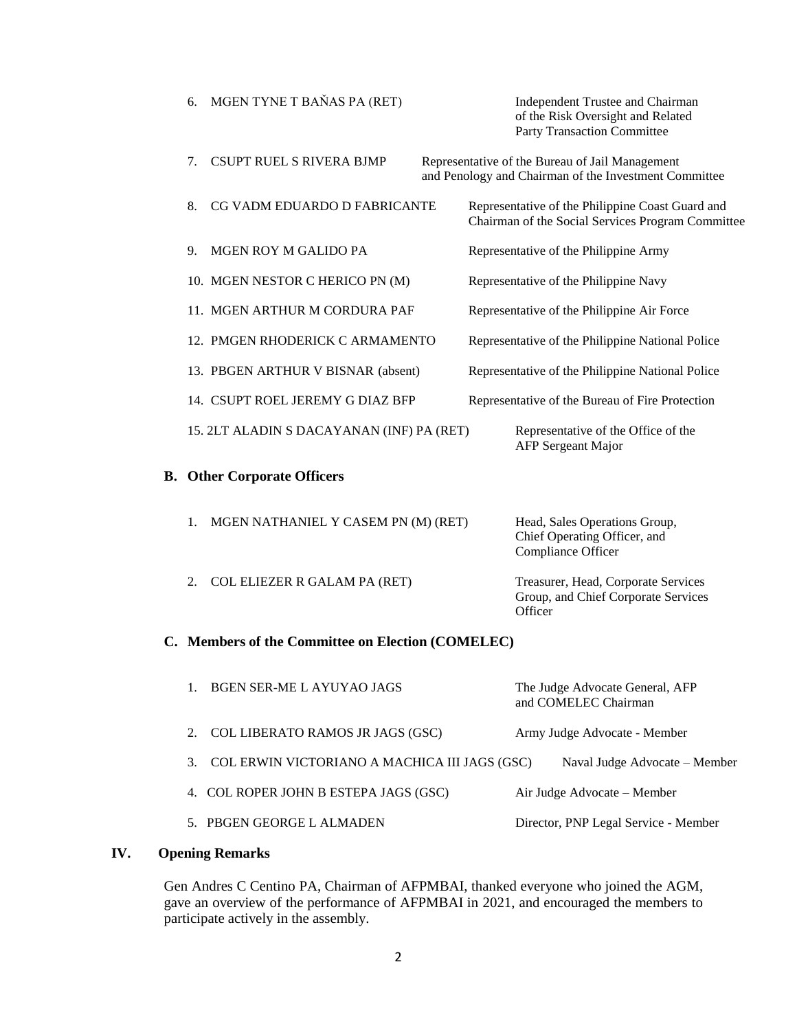| 6.                                        | MGEN TYNE T BAŇAS PA (RET)                | Independent Trustee and Chairman<br>of the Risk Oversight and Related<br><b>Party Transaction Committee</b> |  |
|-------------------------------------------|-------------------------------------------|-------------------------------------------------------------------------------------------------------------|--|
| $7_{\scriptscriptstyle{\ddot{\text{c}}}}$ | <b>CSUPT RUEL S RIVERA BJMP</b>           | Representative of the Bureau of Jail Management<br>and Penology and Chairman of the Investment Committee    |  |
| 8.                                        | CG VADM EDUARDO D FABRICANTE              | Representative of the Philippine Coast Guard and<br>Chairman of the Social Services Program Committee       |  |
| 9.                                        | MGEN ROY M GALIDO PA                      | Representative of the Philippine Army                                                                       |  |
|                                           | 10. MGEN NESTOR C HERICO PN (M)           | Representative of the Philippine Navy                                                                       |  |
|                                           | 11. MGEN ARTHUR M CORDURA PAF             | Representative of the Philippine Air Force                                                                  |  |
|                                           | 12. PMGEN RHODERICK C ARMAMENTO           | Representative of the Philippine National Police                                                            |  |
|                                           | 13. PBGEN ARTHUR V BISNAR (absent)        | Representative of the Philippine National Police                                                            |  |
|                                           | 14. CSUPT ROEL JEREMY G DIAZ BFP          | Representative of the Bureau of Fire Protection                                                             |  |
|                                           | 15. 2LT ALADIN S DACAYANAN (INF) PA (RET) | Representative of the Office of the<br><b>AFP</b> Sergeant Major                                            |  |
|                                           | <b>B.</b> Other Corporate Officers        |                                                                                                             |  |
| $\mathbf{1}$                              | MCEN NATHANIEL V CASEM DN (M) (DET)       | Hood Folge Operations Crown                                                                                 |  |

| MGEN NATHANIEL Y CASEM PN (M) (RET) | Head, Sales Operations Group,<br>Chief Operating Officer, and<br>Compliance Officer   |
|-------------------------------------|---------------------------------------------------------------------------------------|
| COL ELIEZER R GALAM PA (RET)        | Treasurer, Head, Corporate Services<br>Group, and Chief Corporate Services<br>Officer |

## **C. Members of the Committee on Election (COMELEC)**

|    | <b>BGEN SER-ME L AYUYAO JAGS</b>              | The Judge Advocate General, AFP<br>and COMELEC Chairman |
|----|-----------------------------------------------|---------------------------------------------------------|
| 2. | COL LIBERATO RAMOS JR JAGS (GSC)              | Army Judge Advocate - Member                            |
|    | COL ERWIN VICTORIANO A MACHICA III JAGS (GSC) | Naval Judge Advocate - Member                           |
|    | 4. COL ROPER JOHN B ESTEPA JAGS (GSC)         | Air Judge Advocate – Member                             |
|    | 5. PBGEN GEORGE L ALMADEN                     | Director, PNP Legal Service - Member                    |
|    |                                               |                                                         |

## **IV. Opening Remarks**

Gen Andres C Centino PA, Chairman of AFPMBAI, thanked everyone who joined the AGM, gave an overview of the performance of AFPMBAI in 2021, and encouraged the members to participate actively in the assembly.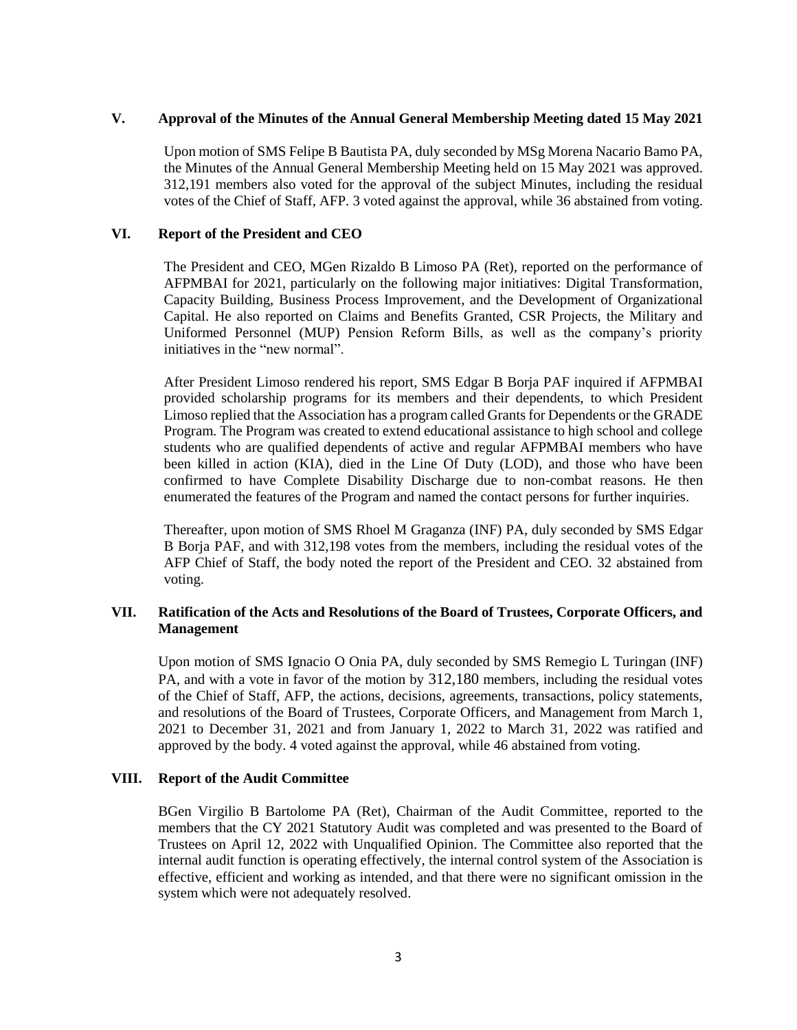## **V. Approval of the Minutes of the Annual General Membership Meeting dated 15 May 2021**

Upon motion of SMS Felipe B Bautista PA, duly seconded by MSg Morena Nacario Bamo PA, the Minutes of the Annual General Membership Meeting held on 15 May 2021 was approved. 312,191 members also voted for the approval of the subject Minutes, including the residual votes of the Chief of Staff, AFP. 3 voted against the approval, while 36 abstained from voting.

#### **VI. Report of the President and CEO**

The President and CEO, MGen Rizaldo B Limoso PA (Ret), reported on the performance of AFPMBAI for 2021, particularly on the following major initiatives: Digital Transformation, Capacity Building, Business Process Improvement, and the Development of Organizational Capital. He also reported on Claims and Benefits Granted, CSR Projects, the Military and Uniformed Personnel (MUP) Pension Reform Bills, as well as the company's priority initiatives in the "new normal".

After President Limoso rendered his report, SMS Edgar B Borja PAF inquired if AFPMBAI provided scholarship programs for its members and their dependents, to which President Limoso replied that the Association has a program called Grants for Dependents or the GRADE Program. The Program was created to extend educational assistance to high school and college students who are qualified dependents of active and regular AFPMBAI members who have been killed in action (KIA), died in the Line Of Duty (LOD), and those who have been confirmed to have Complete Disability Discharge due to non-combat reasons. He then enumerated the features of the Program and named the contact persons for further inquiries.

Thereafter, upon motion of SMS Rhoel M Graganza (INF) PA, duly seconded by SMS Edgar B Borja PAF, and with 312,198 votes from the members, including the residual votes of the AFP Chief of Staff, the body noted the report of the President and CEO. 32 abstained from voting.

#### **VII. Ratification of the Acts and Resolutions of the Board of Trustees, Corporate Officers, and Management**

Upon motion of SMS Ignacio O Onia PA, duly seconded by SMS Remegio L Turingan (INF) PA, and with a vote in favor of the motion by 312,180 members, including the residual votes of the Chief of Staff, AFP, the actions, decisions, agreements, transactions, policy statements, and resolutions of the Board of Trustees, Corporate Officers, and Management from March 1, 2021 to December 31, 2021 and from January 1, 2022 to March 31, 2022 was ratified and approved by the body. 4 voted against the approval, while 46 abstained from voting.

#### **VIII. Report of the Audit Committee**

BGen Virgilio B Bartolome PA (Ret), Chairman of the Audit Committee, reported to the members that the CY 2021 Statutory Audit was completed and was presented to the Board of Trustees on April 12, 2022 with Unqualified Opinion. The Committee also reported that the internal audit function is operating effectively, the internal control system of the Association is effective, efficient and working as intended, and that there were no significant omission in the system which were not adequately resolved.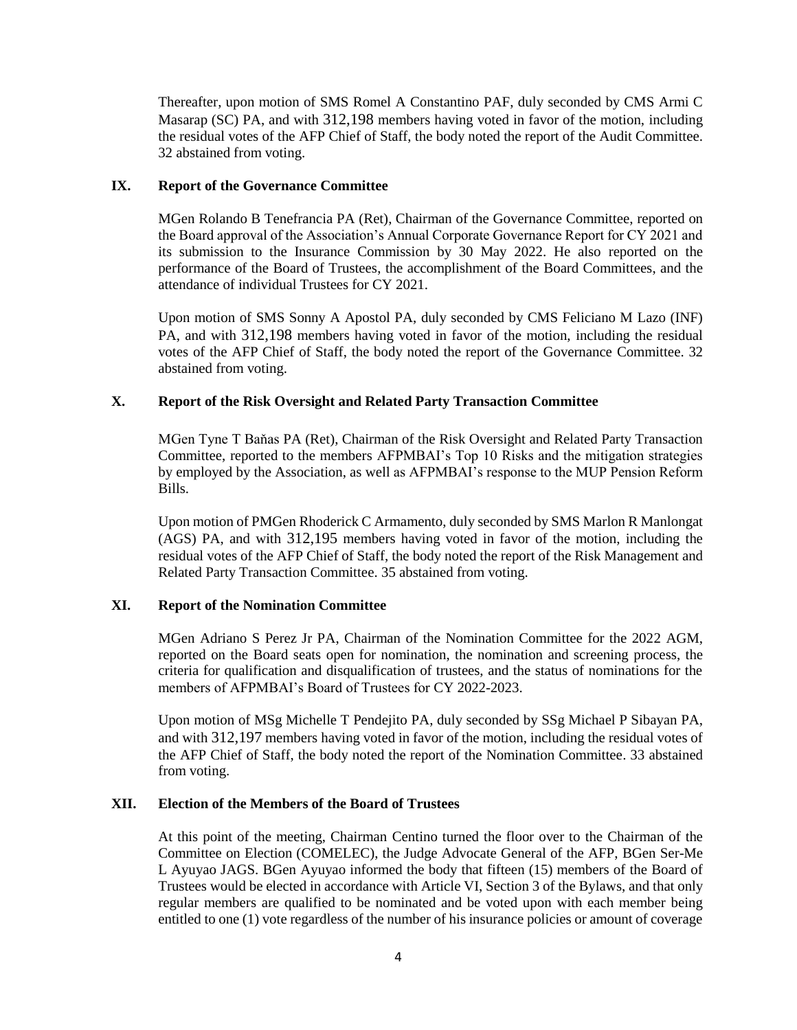Thereafter, upon motion of SMS Romel A Constantino PAF, duly seconded by CMS Armi C Masarap (SC) PA, and with 312,198 members having voted in favor of the motion, including the residual votes of the AFP Chief of Staff, the body noted the report of the Audit Committee. 32 abstained from voting.

## **IX. Report of the Governance Committee**

MGen Rolando B Tenefrancia PA (Ret), Chairman of the Governance Committee, reported on the Board approval of the Association's Annual Corporate Governance Report for CY 2021 and its submission to the Insurance Commission by 30 May 2022. He also reported on the performance of the Board of Trustees, the accomplishment of the Board Committees, and the attendance of individual Trustees for CY 2021.

Upon motion of SMS Sonny A Apostol PA, duly seconded by CMS Feliciano M Lazo (INF) PA, and with 312,198 members having voted in favor of the motion, including the residual votes of the AFP Chief of Staff, the body noted the report of the Governance Committee. 32 abstained from voting.

## **X. Report of the Risk Oversight and Related Party Transaction Committee**

MGen Tyne T Baňas PA (Ret), Chairman of the Risk Oversight and Related Party Transaction Committee, reported to the members AFPMBAI's Top 10 Risks and the mitigation strategies by employed by the Association, as well as AFPMBAI's response to the MUP Pension Reform Bills.

Upon motion of PMGen Rhoderick C Armamento, duly seconded by SMS Marlon R Manlongat (AGS) PA, and with 312,195 members having voted in favor of the motion, including the residual votes of the AFP Chief of Staff, the body noted the report of the Risk Management and Related Party Transaction Committee. 35 abstained from voting.

## **XI. Report of the Nomination Committee**

MGen Adriano S Perez Jr PA, Chairman of the Nomination Committee for the 2022 AGM, reported on the Board seats open for nomination, the nomination and screening process, the criteria for qualification and disqualification of trustees, and the status of nominations for the members of AFPMBAI's Board of Trustees for CY 2022-2023.

Upon motion of MSg Michelle T Pendejito PA, duly seconded by SSg Michael P Sibayan PA, and with 312,197 members having voted in favor of the motion, including the residual votes of the AFP Chief of Staff, the body noted the report of the Nomination Committee. 33 abstained from voting.

## **XII. Election of the Members of the Board of Trustees**

At this point of the meeting, Chairman Centino turned the floor over to the Chairman of the Committee on Election (COMELEC), the Judge Advocate General of the AFP, BGen Ser-Me L Ayuyao JAGS. BGen Ayuyao informed the body that fifteen (15) members of the Board of Trustees would be elected in accordance with Article VI, Section 3 of the Bylaws, and that only regular members are qualified to be nominated and be voted upon with each member being entitled to one (1) vote regardless of the number of his insurance policies or amount of coverage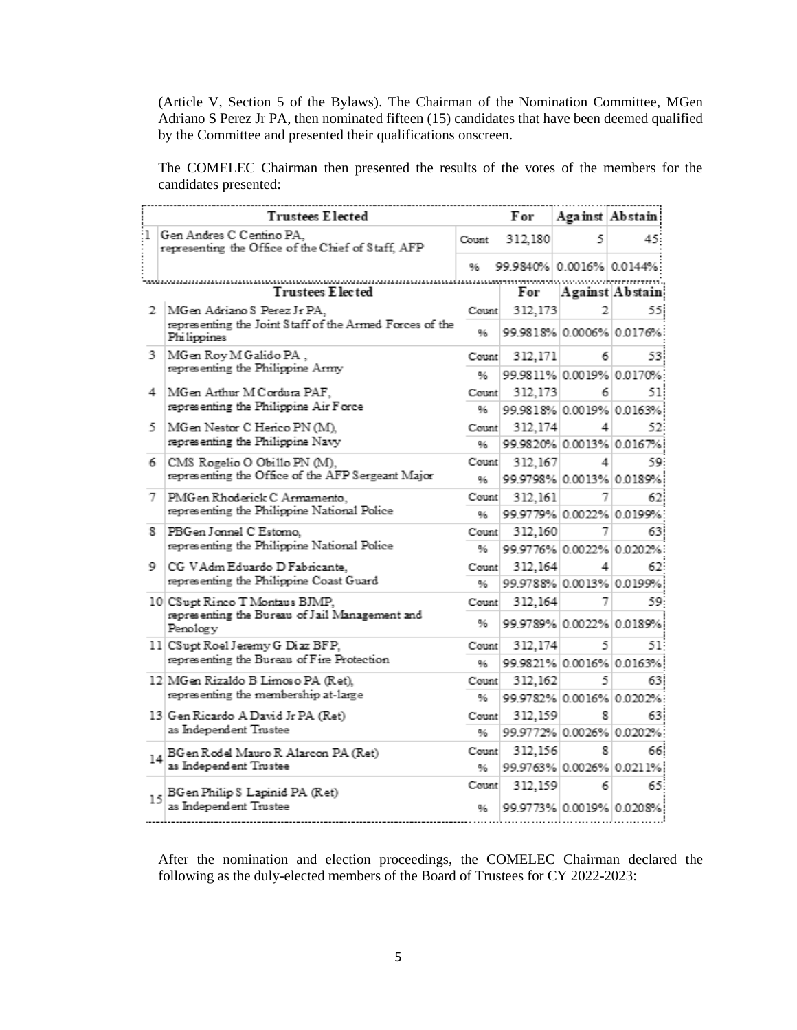(Article V, Section 5 of the Bylaws). The Chairman of the Nomination Committee, MGen Adriano S Perez Jr PA, then nominated fifteen (15) candidates that have been deemed qualified by the Committee and presented their qualifications onscreen.

The COMELEC Chairman then presented the results of the votes of the members for the candidates presented:

|    | <b>Trustees Elected</b>                                                        |       | For                       | Against Abstain          |                            |
|----|--------------------------------------------------------------------------------|-------|---------------------------|--------------------------|----------------------------|
| ٠1 | Gen Andres C Centino PA,<br>representing the Office of the Chief of Staff, AFP | Count | 312,180                   | 5                        | 45.                        |
|    |                                                                                | 96    | 99.9840% 0.0016% 0.0144%: |                          |                            |
|    | <b>Trustees Elected</b>                                                        |       | For                       |                          | Against Abstain            |
| 2. | MGen Adriano S Perez Jr PA,                                                    | Count | 312,173                   |                          | 55                         |
|    | representing the Joint Staff of the Armed Forces of the<br>Philippines         | 96    |                           | 99.9818% 0.0006% 0.0176% |                            |
| 3. | MGen Roy M Galido PA,                                                          | Count | 312,171                   | 6                        | 53                         |
|    | representing the Philippine Army                                               | 96    |                           |                          | 99.9811% 0.0019% 0.0170%   |
| 4  | MGen Arthur M Cordura PAF,                                                     | Count | 312,173                   | 6                        | 51:                        |
|    | representing the Philippine Air Force                                          | 96    |                           | 99.9818% 0.0019% 0.0163% |                            |
| 5. | MGen Nestor C Herico PN (M).                                                   | Count | 312,174                   | 4                        | 52                         |
|    | representing the Philippine Navy                                               | 96    |                           | 99.9820% 0.0013% 0.0167% |                            |
| 6. | CMS Rogelio O Obillo PN (M),                                                   | Count | 312,167                   | 4                        | 59.                        |
|    | representing the Office of the AFP Sergeant Major                              | 96    |                           | 99.9798% 0.0013% 0.0189% |                            |
| 7. | PMG en Rhoderick C Armamento,                                                  | Count | 312,161                   | 7                        | 62                         |
|    | representing the Philippine National Police                                    | ۹⁄۵   |                           |                          | 99.9779% 0.0022% 0.0199%   |
| 8. | PBG en Jonnel C Estomo.                                                        | Count | 312,160                   | 7                        | 63                         |
|    | representing the Philippine National Police                                    | 96    |                           |                          | 99.9776% 0.0022% 0.0202% 3 |
|    | 9   CG VAdm Eduardo D Fabricante.                                              | Count | 312,164                   | 4                        | 62                         |
|    | representing the Philippine Coast Guard                                        | 96    |                           | 99.9788% 0.0013% 0.0199% |                            |
|    | 10 CSupt Rinco T Montaus BJMP,                                                 | Count | 312,164                   | 7                        | 59.                        |
|    | representing the Bureau of Jail Management and<br>Penology                     | 96    |                           |                          | 99.9789% 0.0022% 0.0189%   |
|    | 11 CSupt Roel Jeremy G Diaz BFP,                                               | Count | 312,174                   | 5                        | 51:                        |
|    | representing the Bureau of Fire Protection                                     | 96    |                           |                          | 99.9821% 0.0016% 0.0163%   |
|    | 12 MGen Rizaldo B Limoso PA (Ret),                                             | Count | 312,162                   | 5                        | 63!                        |
|    | representing the membership at-large                                           | 96    |                           |                          | 99.9782% 0.0016% 0.0202%   |
|    | 13 Gen Ricardo A David Jr PA (Ret)                                             | Count | 312,159                   | 8                        | 63                         |
|    | as Independent Trustee                                                         | 96    |                           | 99.9772% 0.0026% 0.0202% |                            |
|    | 14 BG en Rodel Mauro R Alarcon PA (Ret)                                        | Count | 312,156                   | 8                        | 66                         |
|    | as Independent Trustee                                                         | 96    |                           |                          | 99.9763% 0.0026% 0.0211%   |
|    | BGen Philip S Lapinid PA (Ret)                                                 | Count | 312,159                   | 6                        | 65.                        |
| 15 | as Independent Trustee                                                         | 96    |                           |                          | 99.9773% 0.0019% 0.0208%   |

After the nomination and election proceedings, the COMELEC Chairman declared the following as the duly-elected members of the Board of Trustees for CY 2022-2023: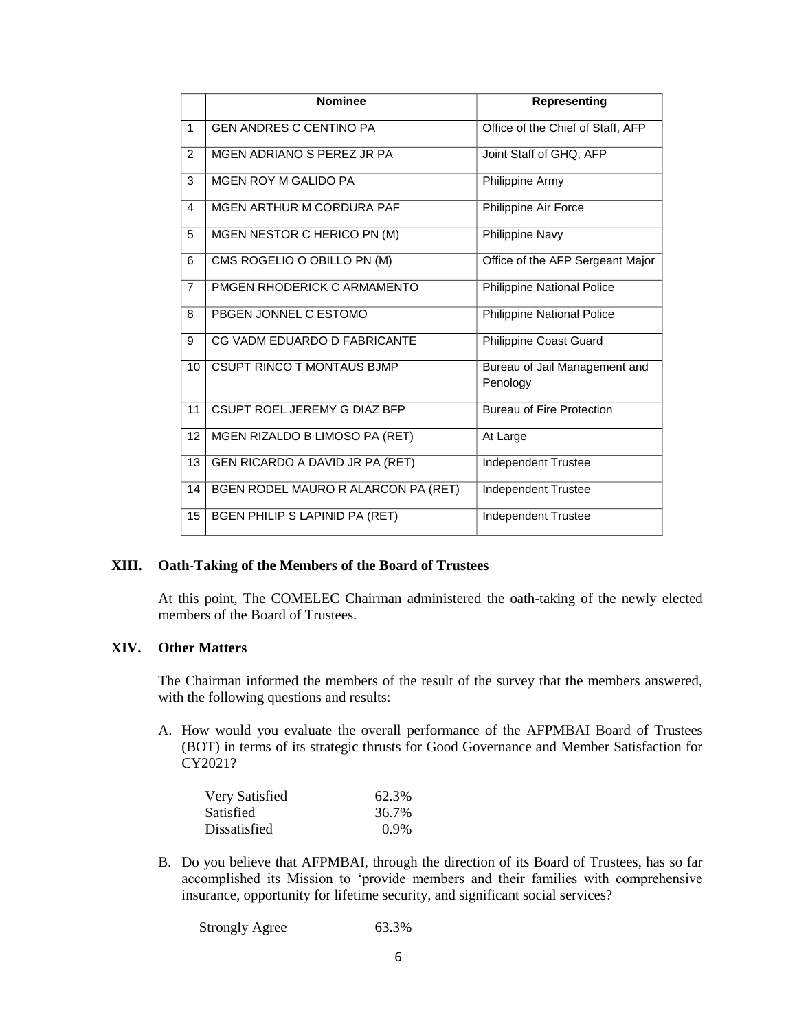|                | <b>Nominee</b>                        | Representing                      |
|----------------|---------------------------------------|-----------------------------------|
|                |                                       |                                   |
| $\mathbf{1}$   | <b>GEN ANDRES C CENTINO PA</b>        | Office of the Chief of Staff, AFP |
| 2              | MGEN ADRIANO S PEREZ JR PA            | Joint Staff of GHQ, AFP           |
| 3              | <b>MGEN ROY M GALIDO PA</b>           | Philippine Army                   |
| $\overline{4}$ | MGEN ARTHUR M CORDURA PAF             | Philippine Air Force              |
| 5              | MGEN NESTOR C HERICO PN (M)           | Philippine Navy                   |
| 6              | CMS ROGELIO O OBILLO PN (M)           | Office of the AFP Sergeant Major  |
| $\overline{7}$ | PMGEN RHODERICK C ARMAMENTO           | <b>Philippine National Police</b> |
| 8              | PBGEN JONNEL C ESTOMO                 | Philippine National Police        |
| 9              | CG VADM EDUARDO D FABRICANTE          | Philippine Coast Guard            |
| 10             | <b>CSUPT RINCO T MONTAUS BJMP</b>     | Bureau of Jail Management and     |
|                |                                       | Penology                          |
| 11             | CSUPT ROEL JEREMY G DIAZ BFP          | <b>Bureau of Fire Protection</b>  |
| 12             | MGEN RIZALDO B LIMOSO PA (RET)        | At Large                          |
| 13             | GEN RICARDO A DAVID JR PA (RET)       | <b>Independent Trustee</b>        |
| 14             | BGEN RODEL MAURO R ALARCON PA (RET)   | Independent Trustee               |
| 15             | <b>BGEN PHILIP S LAPINID PA (RET)</b> | <b>Independent Trustee</b>        |

#### **XIII. Oath-Taking of the Members of the Board of Trustees**

At this point, The COMELEC Chairman administered the oath-taking of the newly elected members of the Board of Trustees.

#### **XIV. Other Matters**

The Chairman informed the members of the result of the survey that the members answered, with the following questions and results:

A. How would you evaluate the overall performance of the AFPMBAI Board of Trustees (BOT) in terms of its strategic thrusts for Good Governance and Member Satisfaction for CY2021?

| Very Satisfied | 62.3%   |
|----------------|---------|
| Satisfied      | 36.7%   |
| Dissatisfied   | $0.9\%$ |

B. Do you believe that AFPMBAI, through the direction of its Board of Trustees, has so far accomplished its Mission to 'provide members and their families with comprehensive insurance, opportunity for lifetime security, and significant social services?

Strongly Agree 63.3%